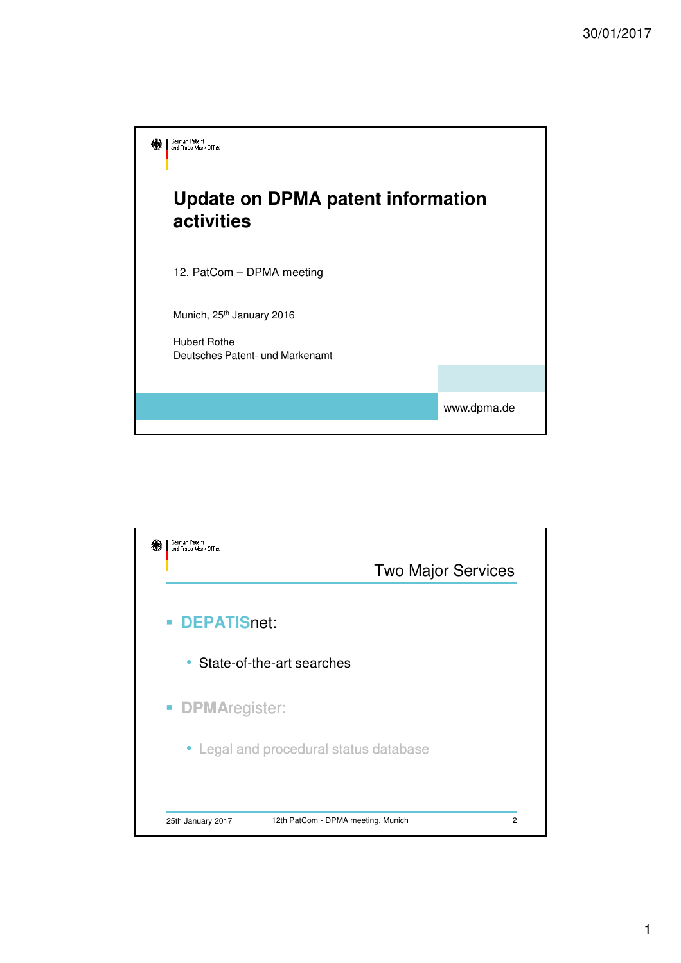

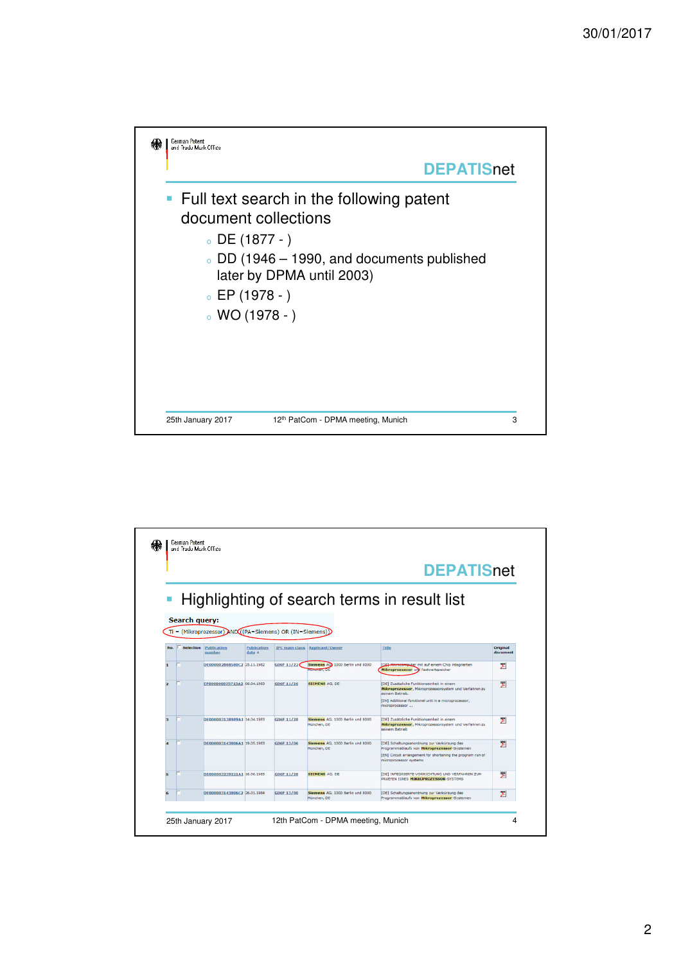

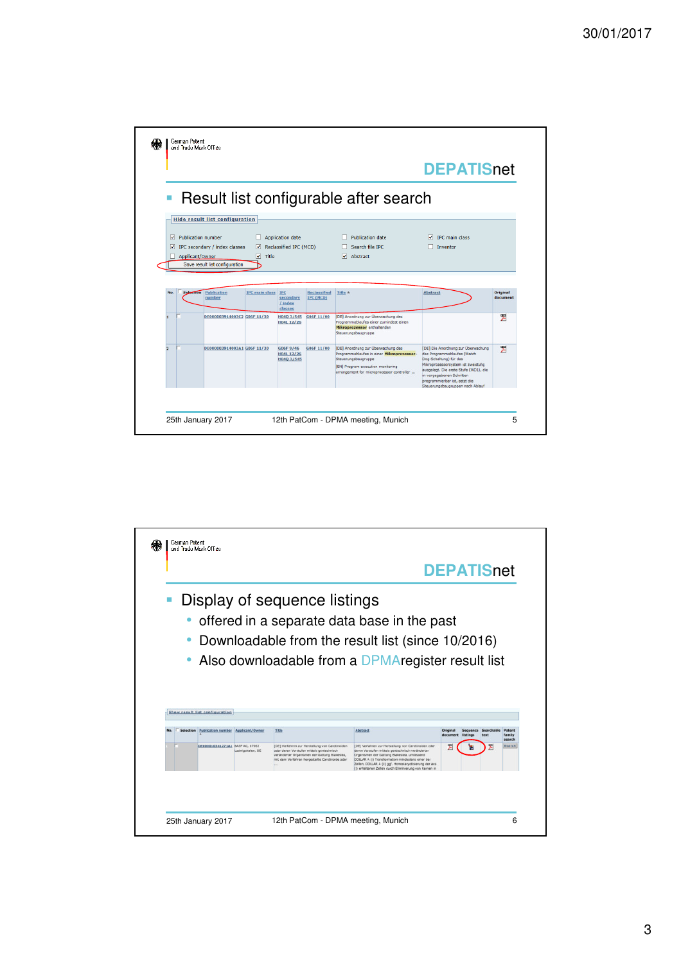|                                         |                                                                                 |                       |                                            |                                  |                                                                              | <b>DEPATISnet</b>                            |                      |
|-----------------------------------------|---------------------------------------------------------------------------------|-----------------------|--------------------------------------------|----------------------------------|------------------------------------------------------------------------------|----------------------------------------------|----------------------|
|                                         |                                                                                 |                       |                                            |                                  | Result list configurable after search                                        |                                              |                      |
|                                         | <b>Hide result list configuration</b>                                           |                       |                                            |                                  |                                                                              |                                              |                      |
| □ Publication number<br>Applicant/Owner | $\triangledown$ IPC secondary / index classes<br>Save result list configuration | ☑<br>$\sqrt{ }$ Title | Application date<br>Reclassified IPC (MCD) |                                  | $\Box$ Publication date<br>Search file IPC<br>$\sqrt{\phantom{a}}$ Abstract  | $\sqrt{ }$ IPC main class<br><b>Inventor</b> |                      |
|                                         |                                                                                 |                       |                                            |                                  |                                                                              |                                              |                      |
| Selection                               | Publication<br>number                                                           | <b>IPC main class</b> | IPC<br>secondary<br>$L$ index<br>classes   | Reclassified<br><b>IPC (MCD)</b> | Title A                                                                      | <b>Abstract</b>                              | Original<br>document |
|                                         |                                                                                 |                       | H040 3/545<br>H04L 12/26                   | G06F 11/00                       | [DE] Anordnung zur Überwachung des<br>Programmablaufes einer zumindest einen |                                              | 쀵                    |
|                                         | DE000003914003C2 G06F 11/30                                                     |                       |                                            |                                  | Mikroprozessor enthaltenden<br>Steuerungsbaugruppe                           |                                              |                      |

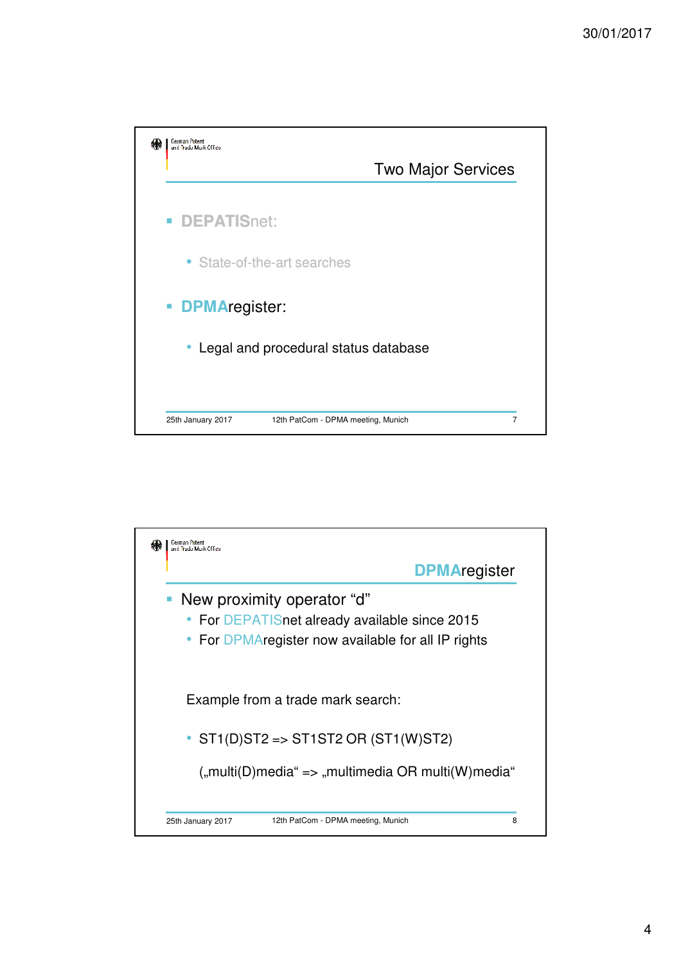

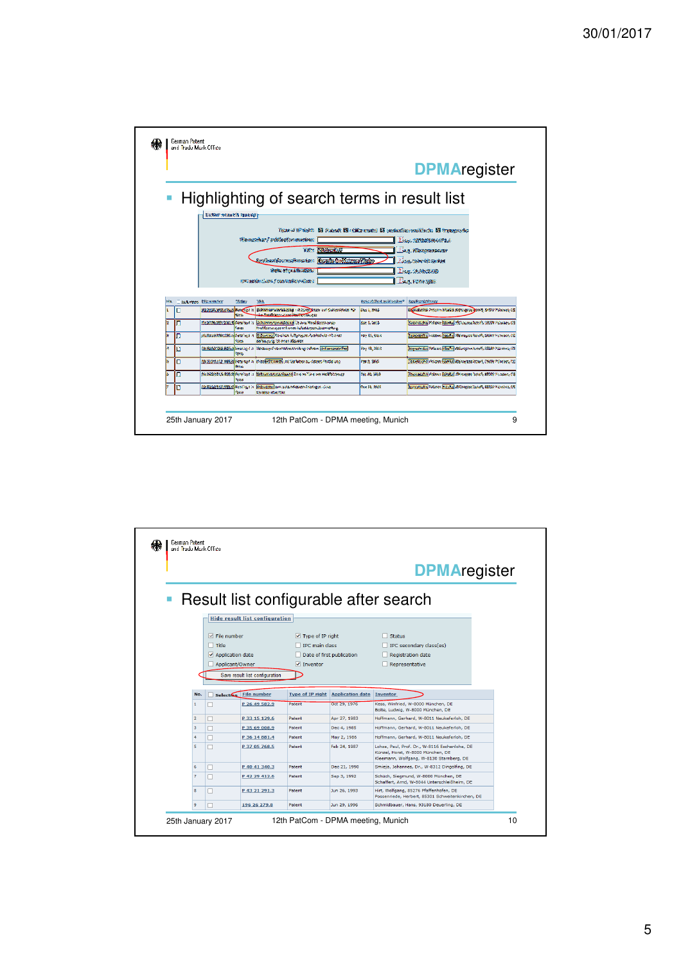|            |   |                                      |                |                                                                                                                                                                                                                                                                        |                                        | <b>DPMAregister</b>                                                                                                         |
|------------|---|--------------------------------------|----------------|------------------------------------------------------------------------------------------------------------------------------------------------------------------------------------------------------------------------------------------------------------------------|----------------------------------------|-----------------------------------------------------------------------------------------------------------------------------|
|            |   | Exter search query:                  |                | Highlighting of search terms in result list                                                                                                                                                                                                                            |                                        |                                                                                                                             |
|            |   |                                      |                | Town in the rights. El this set of this speech is preferible conditions. El type grades<br>the new bank and leaden manked:<br>Titles Distance (26)<br>enlandinamafungkan <b>(kopfatholisismafun</b> k<br>WORK TO SUMMONS ON<br>1992 tanán classe y convention o Game ( |                                        | 1868. 1930000066570.6<br><b>Time, Khansoanasaar</b><br><b>Tassa Giberich Serior</b><br>Teng. 16.86.2885<br>Zawa, Pitan zawa |
| <b>MAL</b> |   | Schedule Hipangton                   | <b>STORY:</b>  | <b>WK</b>                                                                                                                                                                                                                                                              | <b>Basic Avily of the Microbiology</b> | AggyBigang Microsoft                                                                                                        |
| ı          | о | are stream with a must be working to | 523.           | Bidromászatazáságona - 18 bizány jinány avo Galombholm Ne-<br><b>Contractor and Market Books</b>                                                                                                                                                                       | Sec. 1, 9944                           | Researcher Personnel Mark & Aldresser as agents 10-599 Materials (M)                                                        |
| k          | п |                                      | <b>Sanga</b>   | Walking 2011 2012 Consider 1 in Entrancement and in one Woold area and<br>Photography in the text of the Automatic System of the                                                                                                                                       | Sec 1, 2018                            | Regents that Mediance Revenue Met Causes horse's SBERR Willowsen CB                                                         |
|            | Ω |                                      | <b>Kota</b>    | idebased to collect a least to the state of the crew Edge was contracted at each<br>66 Stock of Streets Month                                                                                                                                                          | <b>Par to San</b>                      | Conceptoral instance inspired Abiliances for aPt, debut Houston, OE                                                         |
|            | п |                                      | <b>Toronto</b> | (OR X2010 TAX 40% )) fixed / (-2 ). Noxthing-Crewritates strictly to have . Government for                                                                                                                                                                             | <b>Var 42, 3816</b>                    | Engineering Wasse Market Management that, Shall Youthern Off                                                                |
|            | □ |                                      | يتربيه         | RB) SSRS STE ABRIS Personal in Interfect control and Stationers au-denser Pende and                                                                                                                                                                                    | Par 3, 3685                            | Discretization invitation Reported Atlanta and Activity, Childer Powers, N.C.                                               |
|            |   |                                      | <b>Switz</b>   | recording this deputy character in the concentration of the control of server interests                                                                                                                                                                                | TAS AS SRUT                            | Phones the Holesa Barolus Artistages for sit at the Nunewis OS                                                              |
|            | n |                                      |                | IS REAL TIME TO A RESIDE TO BE CONTROL ON A SERIOUS CONTROL COM                                                                                                                                                                                                        | Oce 91, 8608                           | Recognizing Resince Principal abilities in the relation from a state                                                        |

|                |                       |                                                                                    |                         | <b>DPMAregister</b>                                                                    |                                                                                                                                |  |
|----------------|-----------------------|------------------------------------------------------------------------------------|-------------------------|----------------------------------------------------------------------------------------|--------------------------------------------------------------------------------------------------------------------------------|--|
|                |                       |                                                                                    |                         |                                                                                        | Result list configurable after search                                                                                          |  |
|                |                       | <b>Hide result list configuration</b>                                              |                         |                                                                                        |                                                                                                                                |  |
|                | $\Box$ Title          | $\sqrt{}$ File number<br>$\blacktriangleright$ Application date<br>Applicant/Owner |                         | $\triangledown$ Type of IP right<br><b>IPC</b> main class<br>Date of first publication | <b>Status</b><br>IPC secondary class(es)<br><b>Registration date</b><br>Representative                                         |  |
|                |                       | Save result list configuration                                                     |                         |                                                                                        |                                                                                                                                |  |
|                |                       |                                                                                    |                         |                                                                                        |                                                                                                                                |  |
| No.            | п<br><b>Selection</b> | <b>File number</b>                                                                 | <b>Type of IP right</b> | <b>Application date</b>                                                                | Inventor                                                                                                                       |  |
| $\mathbf{1}$   | П                     | P 26 49 582.9                                                                      | Patent                  | Oct 29, 1976                                                                           | Kess, Winfried, W-8000 München, DE<br>Bolte, Ludwig, W-8000 München, DE                                                        |  |
| $\overline{2}$ | п                     | P 33 15 129.6                                                                      | Patent                  | Apr 27, 1983                                                                           | Hoffmann, Gerhard, W-8011 Neukeferloh, DE                                                                                      |  |
| 3              | п                     | P 35 69 008.9                                                                      | Patent                  | Dec 4, 1985                                                                            | Hoffmann, Gerhard, W-8011 Neukeferloh, DE                                                                                      |  |
| $\overline{a}$ | п                     | P 36 14 881.4                                                                      | Patent                  | May 2, 1986                                                                            | Hoffmann, Gerhard, W-8011 Neukeferloh, DE                                                                                      |  |
| 5              | п                     | P 37 05 768.5                                                                      | Patent                  | Feb 24, 1987                                                                           | Lohse, Paul, Prof. Dr., W-8116 Eschenlohe, DE<br>Künzel, Horst, W-8000 München, DE<br>Kleemann, Wolfgang, W-8130 Starnberg, DE |  |
| 6              | п                     | P 40 41 340.3                                                                      | Patent                  | Dec 21, 1990                                                                           | Smieja, Johannes, Dr., W-8312 Dingolfing, DE                                                                                   |  |
| $\overline{7}$ | п                     | P 42 29 412.6                                                                      | Patent                  | Sep 3, 1992                                                                            | Schüch, Siegmund, W-8000 München, DE<br>Schaffert, Arnd, W-8044 Unterschleißheim, DE                                           |  |
| 8              | п                     | P 43 21 291.3                                                                      | Patent                  | Jun 26, 1993                                                                           | Hirt, Wolfgang, 85276 Pfaffenhofen, DE<br>Possenriede, Herbert, 85301 Schweitenkirchen, DE                                     |  |
|                |                       |                                                                                    | Patent                  | Jun 29, 1996                                                                           | Schmidbauer, Hans, 93180 Deuerling, DE                                                                                         |  |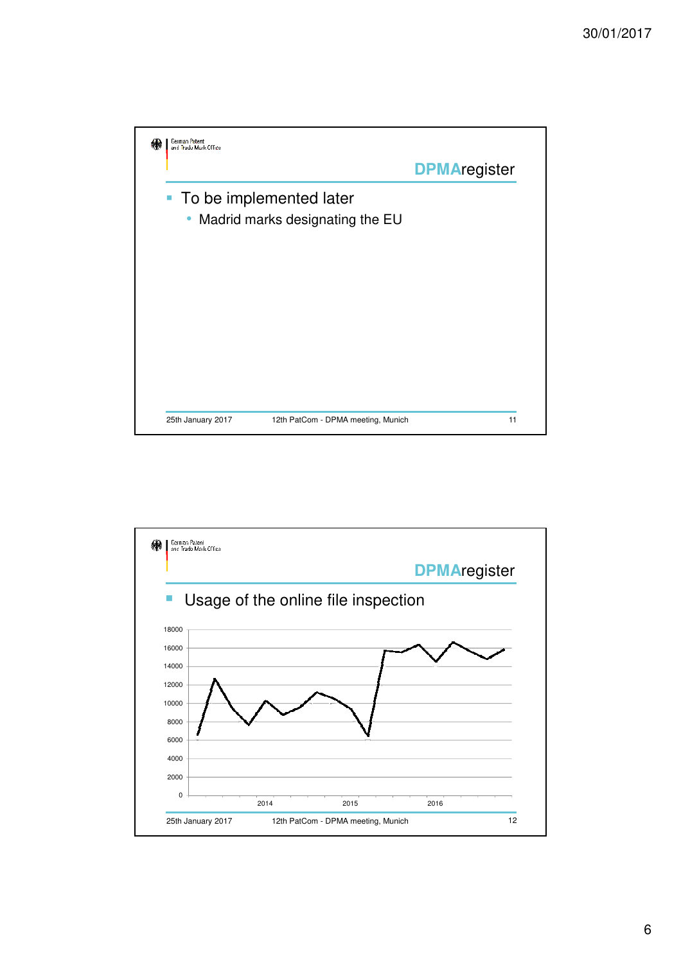

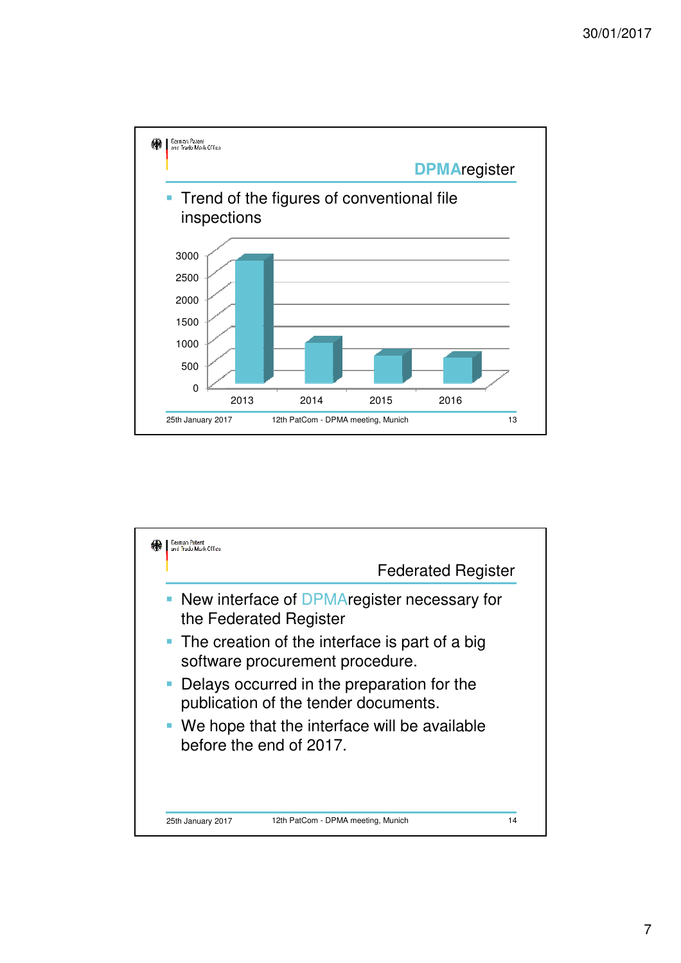

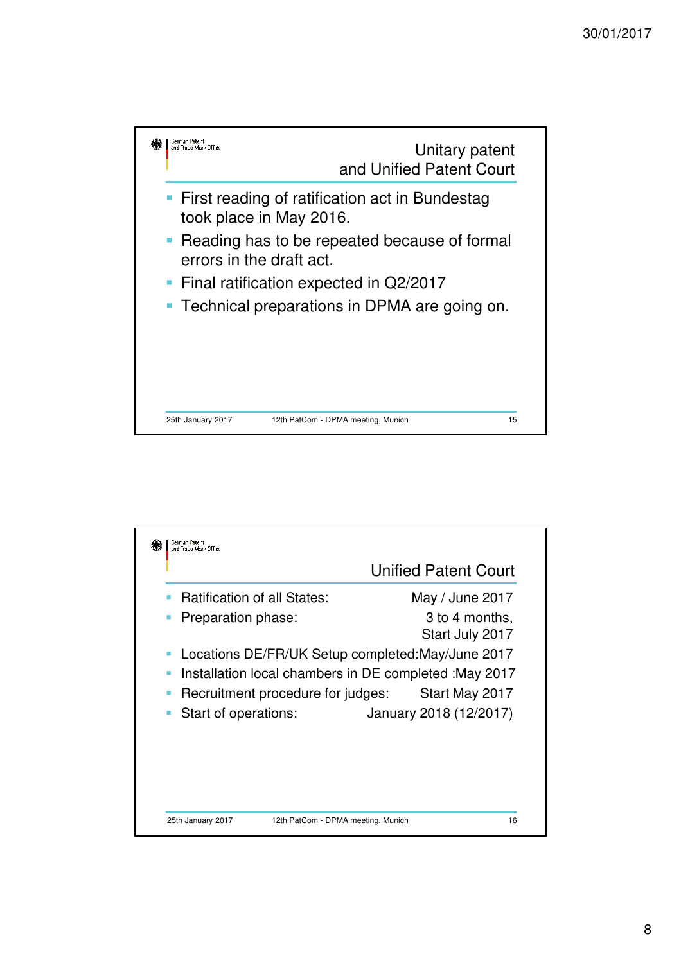

|                                                             | <b>Unified Patent Court</b>       |
|-------------------------------------------------------------|-----------------------------------|
| <b>Ratification of all States:</b>                          | May / June 2017                   |
| Preparation phase:<br>L.                                    | 3 to 4 months,<br>Start July 2017 |
| Locations DE/FR/UK Setup completed: May/June 2017<br>o.     |                                   |
| Installation local chambers in DE completed : May 2017<br>п |                                   |
| Recruitment procedure for judges:                           | Start May 2017                    |
| Start of operations:<br>o.                                  | January 2018 (12/2017)            |
|                                                             |                                   |
|                                                             |                                   |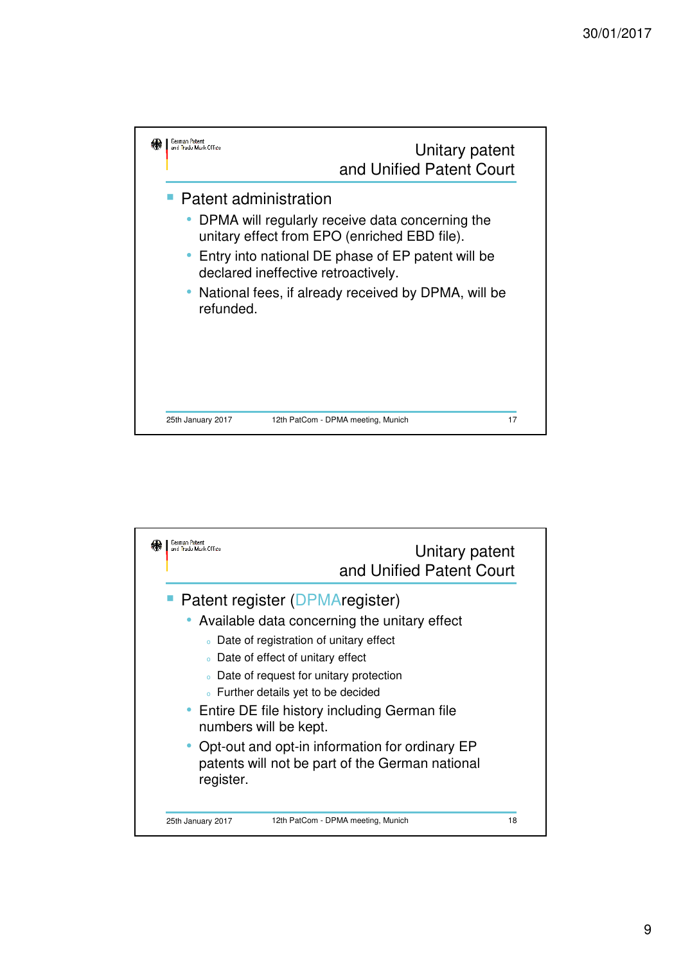